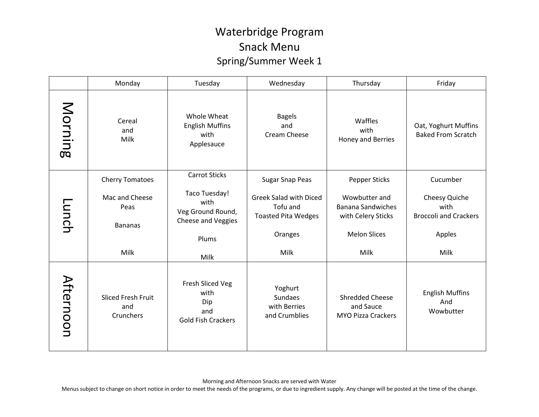## Waterbridge Program Snack Menu Spring/Summer Week 1

|           | Monday                                        | Tuesday                                                             | Wednesday                                                               | Thursday                                                         | Friday                                                |
|-----------|-----------------------------------------------|---------------------------------------------------------------------|-------------------------------------------------------------------------|------------------------------------------------------------------|-------------------------------------------------------|
| Morning   | Cereal<br>and<br>Milk                         | Whole Wheat<br><b>English Muffins</b><br>with<br>Applesauce         | <b>Bagels</b><br>and<br>Cream Cheese                                    | Waffles<br>with<br>Honey and Berries                             | Oat, Yoghurt Muffins<br><b>Baked From Scratch</b>     |
| -unch     | <b>Cherry Tomatoes</b>                        | <b>Carrot Sticks</b>                                                | <b>Sugar Snap Peas</b>                                                  | <b>Pepper Sticks</b>                                             | Cucumber                                              |
|           | Mac and Cheese<br>Peas<br><b>Bananas</b>      | Taco Tuesday!<br>with<br>Veg Ground Round,<br>Cheese and Veggies    | <b>Greek Salad with Diced</b><br>Tofu and<br><b>Toasted Pita Wedges</b> | Wowbutter and<br><b>Banana Sandwiches</b><br>with Celery Sticks  | Cheesy Quiche<br>with<br><b>Broccoli and Crackers</b> |
|           |                                               | Plums                                                               | Oranges                                                                 | <b>Melon Slices</b>                                              | Apples                                                |
|           | Milk                                          | Milk                                                                | Milk                                                                    | Milk                                                             | Milk                                                  |
| Afternoon | <b>Sliced Fresh Fruit</b><br>and<br>Crunchers | Fresh Sliced Veg<br>with<br>Dip<br>and<br><b>Gold Fish Crackers</b> | Yoghurt<br><b>Sundaes</b><br>with Berries<br>and Crumblies              | <b>Shredded Cheese</b><br>and Sauce<br><b>MYO Pizza Crackers</b> | <b>English Muffins</b><br>And<br>Wowbutter            |

Menus subject to change on short notice in order to meet the needs of the programs, or due to ingredient supply. Any change will be posted at the time of the change.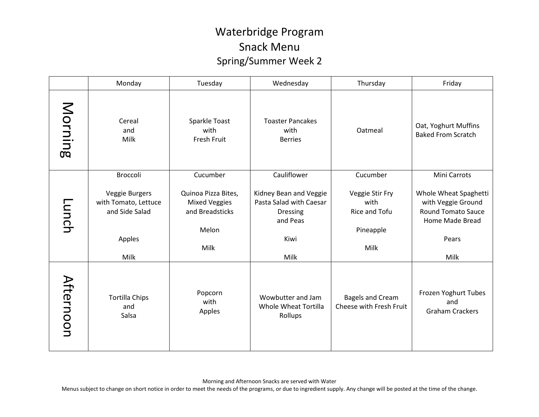## Waterbridge Program Snack Menu Spring/Summer Week 2

|              | Monday                                                                     | Tuesday                                                                         | Wednesday                                                                                        | Thursday                                                      | Friday                                                                                                       |
|--------------|----------------------------------------------------------------------------|---------------------------------------------------------------------------------|--------------------------------------------------------------------------------------------------|---------------------------------------------------------------|--------------------------------------------------------------------------------------------------------------|
| Morning      | Cereal<br>and<br>Milk                                                      | Sparkle Toast<br>with<br>Fresh Fruit                                            | <b>Toaster Pancakes</b><br>with<br><b>Berries</b>                                                | Oatmeal                                                       | Oat, Yoghurt Muffins<br><b>Baked From Scratch</b>                                                            |
|              | Broccoli                                                                   | Cucumber                                                                        | Cauliflower                                                                                      | Cucumber                                                      | Mini Carrots                                                                                                 |
| <b>Lunch</b> | Veggie Burgers<br>with Tomato, Lettuce<br>and Side Salad<br>Apples<br>Milk | Quinoa Pizza Bites,<br><b>Mixed Veggies</b><br>and Breadsticks<br>Melon<br>Milk | Kidney Bean and Veggie<br>Pasta Salad with Caesar<br><b>Dressing</b><br>and Peas<br>Kiwi<br>Milk | Veggie Stir Fry<br>with<br>Rice and Tofu<br>Pineapple<br>Milk | Whole Wheat Spaghetti<br>with Veggie Ground<br><b>Round Tomato Sauce</b><br>Home Made Bread<br>Pears<br>Milk |
| Afternoon    | <b>Tortilla Chips</b><br>and<br>Salsa                                      | Popcorn<br>with<br>Apples                                                       | Wowbutter and Jam<br>Whole Wheat Tortilla<br>Rollups                                             | <b>Bagels and Cream</b><br>Cheese with Fresh Fruit            | Frozen Yoghurt Tubes<br>and<br><b>Graham Crackers</b>                                                        |

Morning and Afternoon Snacks are served with Water

Menus subject to change on short notice in order to meet the needs of the programs, or due to ingredient supply. Any change will be posted at the time of the change.